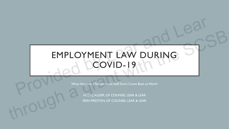### EMPLOYMENT LAW DURING COVID-19 Type equation here. EMPLOYMENT LAW DURING<br>COVID-19<br>What Happens if Teachers and Staff Don't Come Back to Work<br>HEINT LAURE OF COUNSELIED & LEAR EMPLOYMENT LAW DURING

What Happens if Teachers and Staff Don't Come Back to Work?

HEIDI J. ALDER, OF COUNSEL LEAR & LEAR ERIN PRESTON, OF COUNSEL LEAR & LEAR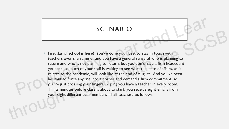#### SCENARIO

First day of school is here! You've done your best to stay in touch with teachers over the summer and you have a general sense of who is planning to return and who is not planning to return, but you don't have a firm headcount yet because much of your staff is waiting to see what the state of affairs, as it relates to the pandemic, will look like at the end of August. And you've been hesitant to force anyone into a corner and demand a firm commitment, so you're just crossing your fingers, hoping you have a teacher in every room. Thirty minutes before class is about to start, you receive eight emails from return and who is not<br>yet because much of y<br>relates to the pandemi<br>hesitant to force anyo<br>you're just crossing yo<br>Thirty minutes before<br>your eight different sta your eight different staff members—half teachers–as follows: SCENARIO<br>
SCENARIO<br>
there! You've done your best to stay in touch with<br>
mmer and you have a general sense of who is planning to<br>
ot planning to return, but you don't have a firm headcount<br>
your staff is waiting to see what SULTVATINUMENT CONTRATINUMENT CONTRATINUM CONTRATINUM CONTRATINUM CONTRATINUM CONTRATINUM CONTRATINUM CONTRATINUM CONTRATINUM CONTRATINUM CONTRATINUM CONTRATINUM CONTRATINUM CONTRATINUM CONTRATINUM CONTRATINUM CONTRATINUM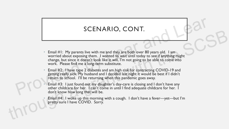#### SCENARIO, CONT.

- Email #1: My parents live with me and they are both over 80 years old. I am worried about exposing them. I wanted to wait until today to see if anything might change, but since it doesn't look like it will, I'm not going to be able to come into work. Please find me a long-term substitute. SCENARIO, CONT.<br>
Finali #1: My parents live with me and they are both over 80 years old. I am<br>
worried about exposing them. I wanted to wait unit locay to see if anything might<br>
change, but since it doesn't look like it wi **Email #1:** My parents live with me and they are both over 80 years old. I am<br>worried about exposing them. I wanted to wait until today to see if anything might<br>change, but since it doesn't look like it will, i'm not goin
	- Email #2: I have type 2 diabetes and am high risk for contracting COVID-19 and getting really sick. My husband and I decided last night it would be best if I didn't return to school. I'll be returning when this pandemic goes away.
	- Email #3: I just found out my daughter's day-care is closing and I don't have any other childcare for her. I can't come in until I find adequate childcare for her. I don't know how long that will be.
	- Email #4: I woke up this morning with a cough. I don't have a fever—yet—but I'm pretty sure I have COVID. Sorry.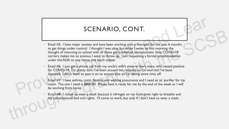#### SCENARIO, CONT.

- Email #5: I have major anxiety and have been working with a therapist for the past 6 months to get things under control. I thought I was okay, but when I woke up this morning, the thought of returning to school with all these germ-infested, asymptomatic little COVID-19 carriers makes me so anxious I want to throw up. I am requesting a formal accommodation under the ADA to stay home and teach online. SCENARIO, CONT.<br>
Inviety and have been working with a therapist for the past 6 months<br>
rol. I thought I was okay, but when I woke up this morning, the<br>
sichool with all these germ-infested, asymptomatic little COVID-19<br>
xi Example 195: I have major anxiety and have been working with a therapist for the past 6 months to get things under control. I thought I was okay, but when I woke up this morning the thought entergrants and section with all
	- Email #6: I just got a phone call from my uncle's wife's sister-in-law's niece, who tested positive for COVID-19. I'm pretty sure I've been around her recently, so I'm worried I've been exposed. I don't want to pass it on to anyone else so I'm taking some time off. Email #6: I just got a phone<br>for COVID-19. I'm pretty<br>exposed. I don't want to p<br>Email #7: I have asthma, cy<br>room. The one I need is \$8<br>be working from home.<br>Email #8: I refuse to wear
		- Email #7: I have asthma, cystic fibrosis, and walking pneumonia and I need an air purifier for my room. The one I need is \$800.00. Please have it ready for me by the end of the week or I will be working from home.
		- Email #8: I refuse to wear a mask because it infringes on my God-given right to breathe and my constitutional and civil rights. I'll come to work, but only if I don't have to wear a mask.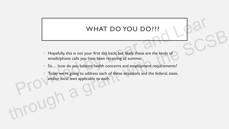#### WHAT DO YOU DO ???

- Hopefully, this is not your first day back, but likely, these are the kinds of emails/phone calls you have been receiving all summer.
- So… how do you balance health concerns and employment requirements?
- Today we're going to address each of these situations and the federal, state, and/or local laws applicable to each. WHAT DO YOU DO???<br>
Propefully, this is not your first day back, but likely, these are the kinds of<br>
emails/phone calls you have been receiving all summer.<br>
So... how do you balance health concerns and employment requiremen WITH BOTOBBOTT:<br>
Hopefully, this is not your first day back, but likely, these are the kinds of<br>
emails/phone calls you have been receiving all summer.<br>
So... how do you balance health concerns and employment requirements?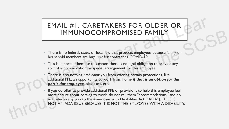# EMAIL #1: CARETAKERS FOR OLDER OR IMMUNOCOMPROMISED FAMILY **EMAIL #1: CARETAKERS FOR OLDER OR<br>
IMMUNOCOMPROMISED FAMILY**<br>
There is no federal, state, or local law that protects employees because family or<br>
This is important because this fier or contracting COVID-19.<br>
This is impor

- There is no federal, state, or local law that protects employees because family or household members are high risk for contracting COVID-19.
- This is important because this means there is no legal obligation to provide any sort of accommodation or special arrangement for this employee.
- There is also nothing *prohibiting* you from offering certain protections, like additional PPE, an opportunity to work from home *if that is an option for this particular employee*, plexiglass, etc.
- If you do offer to provide additional PPE or provisions to help this employee feel more secure about coming to work, do not call them "accommodations" and do not refer in any way to the Americans with Disabilities Act ("ADA"). THIS IS NOT AN ADA ISSUE BECAUSE IT IS NOT THE EMLPOYEE WITH A DISABILITY. IMMUNOCOMPROMISED FAMILY<br>
There is no federal, state, or local law that protects employees because family or<br>
household members are high risk for contracting COVID-19.<br>
This is important because this means there is no lega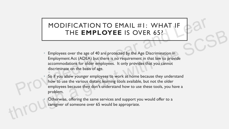#### MODIFICATION TO EMAIL #1: WHAT IF THE **EMPLOYEE** IS OVER 65?

- Employees over the age of 40 are protected by the Age Discrimination in Employment Act (ADEA) but there is no requirement in that law to provide accommodations for older employees. It only provides that you cannot discriminate on the basis of age.
- So if you allow younger employees to work at home because they understand how to use the various distant learning tools available, but not the older employees because they don't understand how to use these tools, you have a problem. MODIFICATION TO EMAIL #1: WHAT IF<br>THE **EMPLOYEE** IS OVER 65?<br>Employees over the age of 40 are protected by the Age Discrimination in<br>Employment Act (ADEA) but there is no requirement in that law to provide<br>accommodations f THE EMPLOYEE IS OVER 65?<br>
Employees over the age of 40 are protected by the Age Discrimination in<br>
Employment Act (ADEA) but there is no requirement in that law to provide<br>
accommodations for older employees. It only provi
	- Otherwise, offering the same services and support you would offer to a caregiver of someone over 65 would be appropriate.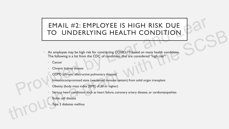# EMAIL #2: EMPLOYEE IS HIGH RISK DUE TO UNDERLYING HEALTH CONDITION **EMAIL #2: EMPLOYEE IS HIGH RISK DUE<br>TO UNDERLYING HEALTH CONDITION**<br>An employee may be high risk for contracting COVID-19 based on many health conditions.<br>The following is a list from the CDC of conditions that are consid

- An employee may be high risk for contracting COVID-19 based on many health conditions. The following is a list from the CDC of conditions that are considered "high risk": TO UNDERLYING HEALTH CONDITION<br>
An employee may be high risk for contracting COVID-19 based on many health conditions.<br>
The following is a list from the CDC of conditions that are considered "high risk":<br>
Cancer<br>
Chronic d
	- **Cancer**
	- Chronic kidney disease
	- COPD (chronic obstructive pulmonary disease)
	- Immunocompromised state (weakened immune system) from solid organ transplant
	- Obesity (body mass index [BMI] of 30 or higher)
	- Serious heart conditions, such as heart failure, coronary artery disease, or cardiomyopathies
	- Sickle cell disease
	- Type 2 diabetes mellitus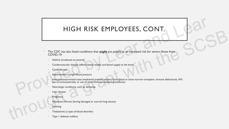#### HIGH RISK EMPLOYEES, CONT.

- The CDC has also listed conditions that *might* put people at an increased risk for severe illness from COVID-19: HIGH RISK EMPLOYEES, CONT.<br>
The CDC has also listed conditions that *might* put people at an increased risk for severe illness from<br>
COVID-19:<br>
Asthma (moderate-to-severe)<br>
Certebrowstcular disease (affects blood vessels a The CDC has also Israel conditions that might put people at an increased risk for severe liness from<br>
COVID-19:<br>
Cerebrowated dusate (affects blood vessels and blood upply to the branch<br>
Cerebrowated dusate (affects blood
	- Asthma (moderate-to-severe)
	- Cerebrovascular disease (affects blood vessels and blood supply to the brain)
	- Cystic fibrosis
	- Hypertension or high blood pressure
	- Immunocompromised state (weakened immune system) from blood or bone marrow transplant, immune deficiencies, HIV, use of corticosteroids, or use of other immune weakening medicines
	- Neurologic conditions, such as dementia
	- Liver disease
	- **Pregnancy**
	- Pulmonary fibrosis (having damaged or scarred lung tissues)
	- **Smoking**
	- Thalassemia (a type of blood disorder)
	- Type 1 diabetes mellitus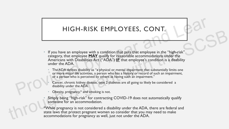#### HIGH-RISK EMPLOYEES, CONT.

- If you have an employee with a condition that puts that employee in the "high-risk" category, that employee **MAY** qualify for reasonable accommodations under the Americans with Disabilities Act ("ADA") **IF** that employee's condition is a disability under the ADA. HIGH-RISK EMPLOYEES, CONT.<br>
If you have an employee with a condition that puts that employee in the "high-risk"<br>
category, that employee MAY qualify for reaspuble accommodations under the "high-risk"<br>
Americans with Disabi If you have an employee with a condition that puts that employee in the "high-risk"<br>category, that employee **MAY** qualify for reasonable accommodations under the<br>Americans with Disabilities Act (ADA) <u>IF</u> that employee is
	- The ADA defines disability as "a physical or mental impairment that substantially limits one or more major life activities, a person who has a history or record of such an impairment, or a person who is perceived by others as having such an impairment."
	- Cancer, chronic kidney disease, type 2 diabetes are all going to likely be considered a disability under the ADA.
	- Obesity, pregnancy,\* and smoking is not.
	- Simply being "high-risk" for contracting COVID-19 does not automatically qualify someone for an accommodation.

\*While pregnancy is not considered a disability under the ADA, there are federal and state laws that protect pregnant women so consider that you may need to make accommodations for pregnancy as well, just not under the ADA.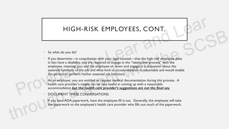#### HIGH-RISK EMPLOYEES, CONT.

- So what do you do?
- If you determine—in consultation with your legal counsel—that the high-risk employee does in fact have a disability, you are required to engage in the "interactive process" with the employee, meaning, you and the employee sit down and engage in a discussion about the essential functions of the job and what kind of accommodation is reasonable and would enable the person to perform his/her essential job functions. HIGH-RISK EMPLOYEES, CONT.<br>
So what do you do?<br>
If you determine—in consultation with your legal coursel—that the high-risk employee does<br>
in fact have a disability, you are required to engage in the "interactive process" So what do you do?<br>
So what do you do?<br>
If you determine—in consultation with your legal counsel—that the high-risk employee does<br>
in fact lawe a disability, you are required to engage in the "interactive process" with the

As an employer, you are entitled to request medical documentation during this process. A health care provider's insight can be very useful in coming up with a reasonable accommodation *but the health care provider's suggestions are not the final say*.

• DOCUMENT THESE CONVERSATIONS.

If you have ADA paperwork, have the employee fill it out. Generally, the employee will take the paperwork to the employee's health care provider who fills out much of the paperwork.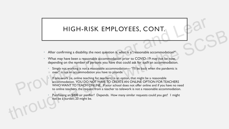#### HIGH-RISK EMPLOYEES, CONT.

- After confirming a disability, the next question is, what is a "reasonable accommodation?"
- What may have been a reasonable accommodation prior to COVID-19 may not be now, depending on the number of persons you have that could ask for such an accommodation.
	- Simply not working is not a reasonable accommodation—"I'll be back when the pandemic is over" is not an accommodation you have to provide
- If tele-work (ie, online teaching for teachers) is an option, that might be a reasonable accommodation. YOU DO NOT HAVE TO CREATE AN ONLINE OPTION FOR TEACHERS WHO WANT TO TEACH ONLINE. If your school does not offer online and if you have no need to online teachers, the request from a teacher to telework is not a reasonable accommodation. HIGH-RISK EMPLOYEES, CONT.<br>
After confirming a disability, the next question is, what is a "reasonable accommodation?"<br>
What may have been a reasonable accommodation prior to COVID-19 may not be now.<br>
depending on the numb The confirming a disability, the next question is, what is a "reasonable accommodation?"<br>
What may have been a reasonable accommodation prior to COVID-19 may not be now,<br>
depending on the number of persons you have that co
	- Purchasing an \$800 air purifier? Depends. How many similar requests could you get? 1 might not be a burden; 20 might be.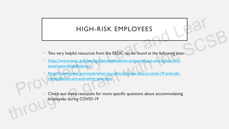#### HIGH-RISK EMPLOYEES

- Two very helpful resources from the EEOC can be found at the following sites:
- https://www.eeoc.gov/laws/guidance/pandemic-preparedness-workplace-andamericans-disabilities-act GH-RISK EMPLOYEES<br>
ources from the EEOC can be found at the following sites:<br>
Waws/guidance/pandemic-preparedness-workplace-and-<br>
s-act
- https://www.eeoc.gov/wysk/what-you-should-know-about-covid-19-and-adarehabilitation-act-and-other-eeo-laws americans-disabilities-americans-disabilities-<br>
https://www.eeoc.gov/<br>
rehabilitation-act-and-
- Check out these resources for more specific questions about accommodating employees during COVID-19 Two very helpful resources from the EEOC can be found at the following sites:<br>
https://www.eeo.c.gov/wws/gludance/pandemic-preparedness-workplace-and-<br>
https://www.eeo.c.gov/wysk/what-you-should-know-about-covid-19-and-ada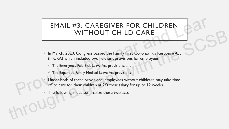### EMAIL #3: CAREGIVER FOR CHILDREN WITHOUT CHILD CARE CAREGIVER FOR CHILDREN<br>THOUT CHILD CARE<br>gress passed the Family First Coronavirus Response Act<br>ded two relevant provisions for employees:<br>Sick Leave Act provisions; and

- In March, 2020, Congress passed the Family First Coronavirus Response Act (FFCRA) which included two relevant provisions for employees: WITHOUT CHILD CARE<br>
In March, 2020, Congress passed the Family First Coronavirus Response Act<br>
(FFCRA) which included two relevant provisions for employees:<br>
The Emergency Pald Sick Leave Act provisions; and<br>
The Expanded
	- The Emergency Paid Sick Leave Act provisions; and
	- The Expanded Family Medical Leave Act provisions
	- Under both of these provisions, employees without childcare may take time off to care for their children at 2/3 their salary for up to 12 weeks. The Emergency Paid S<br>
	The Expanded Family I<br>
	Under both of these p<br>
	off to care for their ch<br>
	The following slides sum
		- The following slides summarize these two acts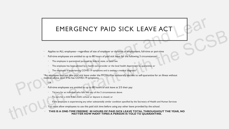# EMERGENCY PAID SICK LEAVE ACT EMERGENCY PAID SICK LEAVE ACT<br>
Applies to ALL employees—regardless of size of employer or diviation of employment, full-time or part-time<br>
Full-time employees are emitted to up to 80 hours of paid sick leave for the follow

- Applies to ALL employees—regardless of size of employer or duration of employment, full-time or part-time
- Full-time employees are entitled to up to 80 hours of paid sick leave for the following 3 circumstances:
	- The employee is quarantined pursuant to federal, state, or local law.
	- The employee has been advised by a health care provider or the local health department to quarantine; or
	- The employee is experiencing COVID-19 symptoms and is seeking a medical diagnosis\*

\*An employee may not take paid sick leave under the FFCRA if he unilaterally decides to self-quarantine for an illness without medical advice, even if he has COVID-19 symptoms.

#### OR

- Full-time employees are entitled to up to 80 hours of sick leave at 2/3 their pay:
	- To care for an individual who falls into any of the 3 circumstances above
	- To care for a child if the child's school or daycare is closed; or
	- If the employee is experiencing any other substantially similar condition specified by the Secretary of Health and Human Services
- You must allow employees to use this paid sick time before using any other leave provided by the school.
- **THIS IS A ONE-TIME FREEBIE! 80 HOURS OF PAID SICK LEAVE TOTAL THROUGHOUT THE YEAR, NO MATTER HOW MANY TIMES A PERSON IS TOLD TO QUARANTINE.**  Example of ALI employees in earth of a state of employee or duration of employees or duration of employees are sented to up to 80 bours of patie size of the following 3 circumstress.<br>
The employees agreement with the SCSB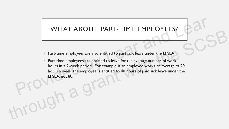#### WHAT ABOUT PART-TIME EMPLOYEES?

- Part-time employees are also entitled to paid sick leave under the EPSLA
- Part-time employees are entitled to leave for the average number of work hours in a 2-week period. For example, if an employee works an average of 20 hours a week, the employee is entitled to 40 hours of paid sick leave under the EPSLA, not 80. WHAT ABOUT PART-TIME EMPLOYEES?<br>
Part-time employees are also entitled to paid sick leave under the EPSLA<br>
Part-time employees are entitled to leave for the average number of work<br>
hours in a 2-week period. For example, if Part-time employees are also entitled to paid sick leave under the EPSLA<br>
Part-time employees are entitled to leave for the average number of work<br>
hours in a 2-week period. For example, if an employee works an average of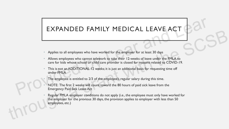#### EXPANDED FAMILY MEDICAL LEAVE ACT

- Applies to all employees who have worked for the employer for at least 30 days
- Allows employees who cannot telework to take their 12-weeks of leave under the FMLA to care for kids whose school or child care provider is closed for reasons related to COVID-19.
- This is not an ADDITIONAL 12 weeks; it is just an additional basis for requesting time off under FMLA EXPANDED FAMILY MEDICAL LEAVE ACT<br>Applies to all employees who have worked for the employer for at least 30 days<br>Allows employees who cannot televork to take their 12-weeks of leave under the FMA to<br>care for kids whose sch
	- The employee is entitled to 2/3 of the employee's regular salary during this time.
	- NOTE: The first 2 weeks will count toward the 80 hours of paid sick leave from the Emergency Paid Sick Leave Act
- Regular FMLA employer conditions do not apply (i.e., the employee must only have worked for the employer for the previous 30 days, the provision applies to employer with less than 50 employees, etc.) **EXITATIVE TATILET TIEDICAL ELAYE ACT**<br>
Applies to all employees who have worked for the employer for at least 30 days<br>
Allows employees who cannot televork to take their 12-weeks of leave under the FMLA to<br>
care for kids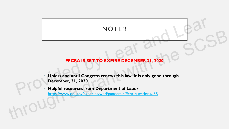#### NOTE!!

# **FFCRA IS SET TO EXPIRE DECEMBER 31, 2020** NOTE!!

- **Unless and until Congress renews this law, it is only good through December, 31, 2020.** These and until Co.<br>December, 31, 2020<br>Helpful resources for the extreme of the state of the extreme of the state of the state of the state of the state of the state of the state of the state of the state of the state of t FFCRA IS SET TO EXPIRE DECEMBER 31, 2020<br>
FFCRA IS SET TO EXPIRE DECEMBER 31, 2020<br>
December, 31, 2020.<br>
Helpful resources from Department of Labor:<br>
https://www.dol.gov/agencies/whd/pandemic/ffcra-questions#55
	- **Helpful resources from Department of Labor:**  https://www.dol.gov/agencies/whd/pandemic/ffcra-questions#55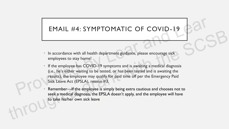#### EMAIL #4: SYMPTOMATIC OF COVID-19

- In accordance with all health department guidance, please encourage sick employees to stay home! SYMPTOMATIC OF COVID-19<br>
II health department guidance, please encourage sick<br>
COVID-19 symptoms and is awaiting a medical diagnosis<br>
LECOVID-19 symptoms and is awaiting a medical diagnosis<br>
LECOVID-19 symptoms and is awai
- If the employee has COVID-19 symptoms and is awaiting a medical diagnosis (i.e., he's either waiting to be tested, or has been tested and is awaiting the results), the employee may qualify for paid time off per the Emergency Paid Sick Leave Act (EPSLA), reason #3. If the employee has C(<br>
(i.e., he's either waiting<br>
results), the employee<br>
Sick Leave Act (EPSLA<br>
Remember—If the employee<br>
seek a medical diagnos ETTATE HFT. 3 THITT I CITATIC CT COVID-1<br>
In accordance with all helalth department guidance, please encourage sick<br>
employees to stay home!<br>
If the employee has COVID-19 symptoms and is awaiting a medical diagnosis<br>
(i.e.
	- Remember—If the employee is simply being extra cautious and chooses not to seek a medical diagnosis, the EPSLA doesn't apply, and the employee will have to take his/her own sick leave.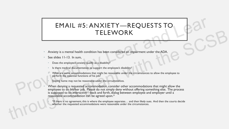# EMAIL #5: ANXIETY—REQUESTS TO TELEWORK EMAIL #5: ANXIETY—REQUESTS TO<br>
TELEWORK<br>
TELEWORK<br>
Anxiety is a mental health condition has been considered an impairment under the ADA.<br>
See sides 11-13. In sum,<br>
Describe the employee's anxiety quality as a disability?<br>

- Anxiety is a mental health condition has been considered an impairment under the ADA.
- See slides 11-13. In sum,
	- Does the employee's anxiety qualify as a disability?
	- Is there medical documentation to support the employee's disability?
	- What are some accommodations that might be reasonable under the circumstances to allow the employee to perform the essential functions of his job?
	- Staying home may not be reasonable under the circumstances.
- When denying a requested accommodation, consider other accommodations that might allow the employee to do his/her job. Please do not simply deny without offering something else. The process is supposed to be interactive—back and forth, dialog between employee and employer until a reasonable accommodation can be agreed upon.\* TELEWORK<br>
Anxiety is a mental health condition has been considered an impairment under the ADA<br>
See silides 11-13. In sum,<br>
Does the employee's among a distability?<br>
But the medical decommodations but might be reasonable u
	- \*If there is no agreement, this is where the employee separates… and then likely sues. And then the courts decide whether the requested accommodations were reasonable under the circumstances.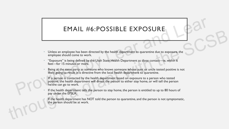#### EMAIL #6:POSSIBLE EXPOSURE

- Unless an employee has been directed by the health department to quarantine due to exposure, the employee should come to work.
- "Exposure" is being defined by the Utah State Health Department as close contact—ie, within 6 feet—for 15 minutes or more.
- Being at the same party as someone who knows someone whose aunt or uncle tested positive is not likely going to result in a directive from the local health department to quarantine.
- IF a person is contacted by the health department based on exposure to a person who tested positive, the health department will direct the person to either stay home, or will tell the person he/she can go to work. EMAIL #6:POSSIBLE EXPOSURE<br>
Unless an employee has been directed by the health department to quarantine due to exposure, the<br>
employee should come to work.<br>
"Exposure" is being defined by the Utah State Health Department a LITTINIC THOUT USUS LETTINIC THOUT USUS LETTINIC TO BE THE CONTROLL TO A SURFAINT ON THE CONTROLL TO A GRANT WITHOUT A GRANT WITHOUT A GRANT WITHOUT A GRANT WITHOUT A GRANT WITHOUT A GRANT WITHOUT A GRANT WITHOUT A SURFAIN
	- If the health department tells the person to stay home, the person is entitled to up to 80 hours of pay under the EPSLA.
	- If the health department has NOT told the person to quarantine, and the person is not symptomatic, the person should be at work.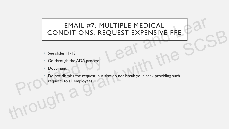# EMAIL #7: MULTIPLE MEDICAL CONDITIONS, REQUEST EXPENSIVE PPE EMAIL #7: MULTIPLE MEDICAL<br>
CONDITIONS, REQUEST EXPENSIVE PPE<br>
See slides II-13.<br>
See slides II-13.<br>
Co through the ADA process!<br>
Document!<br>
Do not dismiss the request; but also do not break your bank providing such<br>
PCO r

- See slides 11-13.
- Go through the ADA process!
- Document!
- Do not dismiss the request; but also do not break your bank providing such requests to all employees. CONDITIONS, REQUEST EXPENSIVE PPE<br>
See slides 11-13.<br>
Go through the ADA process!<br>
Document!<br>
Do not dismiss the request; but also do not break your bank providing such<br>
PPC Council employees.<br>
PPC Council employees.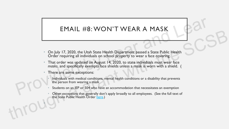#### EMAIL #8: WON'T WEAR A MASK

- On July 17, 2020, the Utah State Health Department passed a State Public Health Order requiring all individuals on school property to wear a face covering.
- That order was updated on August 14, 2020, to state individuals must wear face *masks*, and specifically exempts face shields unless a mask is worn with a shield. ( EMAIL #8: WON'T WEAR A MASK<br>
On July 17, 2020, the Utah State Health Department passed a State Public Health<br>
Order requiring all individuals on school property to wear a face covering.<br>
That order was updated on August 14 LITTLE TO. VV CIVIT I VELAIN A TITUSTS<br>
On July 17, 2020, the Utah State Health Department passed a State Public Health<br>
Order requiring all individuals on school property to wear a face covering.<br>
That order was updated o
	- There are some exceptions:

•

- Individuals with medical conditions, mental health conditions or a disability that prevents the person from wearing a mask
- Students on an IEP or 504 who have an accommodation that necessitates an exemption
- Other exceptions that generally don't apply broadly to all employees. (See the full text of the State Public Health Order [here](../COVID-19 Information/State Public Health Order UPHO-2020-11 v.2.pdf).)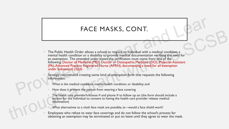#### FACE MASKS, CONT.

- The Public Health Order allows a school to require an individual with a medical condition, a mental health condition or a disability to provide medical documentation verifying the need for an exemption. The amended order states the verification must come from one of the following: Doctor of Medicine (MD), Doctor of Osteopathic Medicine (DO), Physician Assistant (PA), Advanced Practice Registered Nurse (APRN), documenting a need for an exemption under Subsection (3)(d). FACE MASKS, CONT.<br>
The Public Health Order allows a school to require an individual with a medical condition, a<br>
mental health condition or a disability to provide medical documentation verifying the need for<br>
an exemption The Public Health Order allows a school to require an individual with a medical condition, a<br>mental health condition a grantied condition of a disability to provide medical condition, a<br>an exemption. The amended order stat
	- Strongly recommend creating some kind of exemption form that requests the following information:
		- What is the medical condition, mental health condition, or disability; and
		- How does it prevent the person from wearing a face covering
		- The health care provider's license  $\#$  and phone  $\#$  to follow up on (the form should include a section for the individual to consent to having the health care provider release medical information)
		- What alternatives to a cloth face mask are possible, ie—would a face shield work?
	- Employees who refuse to wear face coverings and do not follow the school's process for obtaining an exemption may be terminated or put on leave until they agree to wear the mask.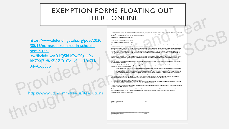#### EXEMPTION FORMS FLOATING OUT THERE ONLINE

https://www.defendingutah.org/post/2020 /08/16/no-masks-required-in-schoolshere-s-thelaw?fbclid=IwAR1Q5hUCwC0gIHPr-IthZXfj7It8-tZCZO1Cq\_v5jiUl18c7H-8dwC6pS5w FIDENE VINLINE<br>
Stationard England<br>
Stationard England<br>
Contract in the contract interaction of the contract interaction<br>
Contract in the contract interaction of the contract interaction<br>
Contract interaction of the contra https://www.defendingutah.org/post/2020<br>
109/16/no-masks-required-in-schools-<br>
https://throu[gh](https://www.utahcommittee.us/Resolutions) [a g](https://www.utahcommittee.us/Resolutions)rant with the SCSB in the SCSB of the SCSB of the SCSB of the SCSB of the SCSB of the SCSB of the SCSB of the SCSB of the SC

BdwC6pS5w<br>
Provided by The Charles Contract of Charles Charles Charles Charles Charles Charles Charles Charles Charles Charles Charles Charles Charles Charles Charles Charles Charles Charles Charles Charles Charles Charles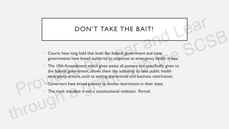#### DON'T TAKE THE BAIT!

- Courts have long held that both the federal government and state governments have broad authority to response to emergency health crises. BRIT!<br>
DN'T TAKE THE BAIT!<br>
Id that both the federal government and state<br>
coad authority to response to emergency health crises.<br>
Int, which gives states all powers not specifically given to<br>
ant ellows than the authority
- The 10th Amendment, which gives states all powers not specifically given to the federal government, allows them the authority to take public health emergency actions, such as setting quarantines and business restrictions. The 10th Amendment,<br>the federal governmen<br>emergency actions, such<br>Governors have broad<br>The mask mandate is **EXERCISE THE DETTI:**<br>
Courts have long held that both the federal government and state<br>
governments have broad authority to response to emergency health crises.<br>
The 10th Amendment, which gives states all powers not speci
	- Governors have broad powers to invoke restrictions in their state.
	- The mask mandate is not a constitutional violation. Period.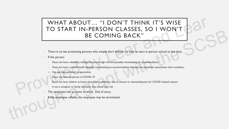### WHAT ABOUT... "I DON'T THINK IT'S WISE TO START IN-PERSON CLASSES, SO I WON'T BE COMING BACK" UT... "I DON'T THINK IT'S WISE<br>N-PERSON CLASSES, SO I WON'T<br>BE COMING BACK"<br>ersons who simply don't believe it's wise to start in-person school at this time.<br>king the person high-risk and possibly necessitating an accommod THE STRING THE SCOTT CENSOR CHANGE IS WELD AND THE STRING OF THE STRING OF THE STRING OF THE STRING OF THE STRING OF THE STRING OF THE STRING OF THE STRING OF THE STRING OF THE STRING OF THE STRING OF THE STRING OF THE STR

- There is no law protecting persons who simply don't believe it's wise to start in-person school at this time.
- If the person:
	- Does not have a disability making the person high-risk and possibly necessitating an accommodation;
	- Does not have a mental health disability necessitating an accommodation because the pandemic exacerbates their condition;
	- Has not been ordered to quarantine
	- Does not have symptoms of COVID-19
	- Does not have children at home who require childcare due to closure or schools/daycare for COVID-related reasons
	- Is not a caregiver to family members who are at high-risk
- The employee has to come to work. End of story. Does not have a disability makin<br>Does not have a mental health d<br>Has not been ordered to quaran<br>Does not have symptoms of CC<br>Does not have children at home<br>Is not a caregiver to family mem<br>The employee has to come to
	- If the employee refuses, the employee may be terminated.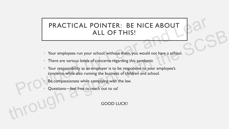# PRACTICAL POINTER: BE NICE ABOUT ALL OF THIS! **PRACTICAL POINTER: BE NICE ABOUT<br>ALL OF THIS!**<br>Your employees run your school; without them, you would not have a school.<br>There are various levels of concerns regarding this pandemic<br>Your responsibility as an employer is

- Your employees run your school; without them, you would not have a school.
- There are various levels of concerns regarding this pandemic
- Your responsibility as an employer is to be responsive to your employee's concerns, while also running the business of children and school. ALL OF THIS!<br>
Your employees run your school; without them, you would not have a school.<br>
There are various levels of concerns regarding this pandemic<br>
Your empopsibility as an employer is to be responsive to your employee
	- Be compassionate while complying with the law.
	- Questions—feel free to reach out to us!

GOOD LUCK!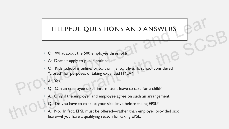#### HELPFUL QUESTIONS AND ANSWERS

- Q: What about the 500 employee threshold?
- A: Doesn't apply to public entities
- Q: Kids' school is online, or part online, part live. Is school considered "closed" for purposes of taking expanded FMLA? HELPFUL QUESTIONS AND ANSWERS<br>
Q: What about the 500 employee threshold?<br>
A: Doesn't apply to public entities<br>
Q: Kids' school is online, or part online, part live. Is school considered<br>
"closed" for purposes of taking exp
	- A: Yes.
	- Q: Can an employee taken intermittent leave to care for a child?
	- A: Only if the employer and employee agree on such an arrangement.
	- Q: Do you have to exhaust your sick leave before taking EPSL?
- A: No. In fact, EPSL must be offered—rather than employer provided sick leave—if you have a qualifying reason for taking EPSL. THELT TO E QUESTIONS AND ANSWERS<br>
2: What about the 500 employee threshold?<br>
4: Doesn't apply to public entities<br>
2: Kids' school is online, or part online, part live. Is school considered<br>
"closed" for purposes of taking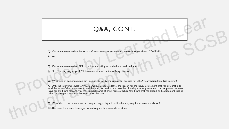#### Q&A, CONT.

- Q: Can an employer reduce hours of staff who are no longer needed due to shortages during COVID-19?
- A: Yes.
- Q: Can an employee collect EPSL if he is not working as much due to reduced hours?
- A: No. The only way to get EPSL is to meet one of the 6 qualifying reasons
	- Q: What kind of documentation can I request to verity the employee qualifies for EPSL? \*Correction from last training!!!

• A: Only the following: dates for which employee requests leave, the reason for the leave, a statement that you are unable to work because of the above reason, and the entity or health care provider directing you to quarantine. If an employee requests leave for child care reasons, you may request: name of child, name of school/child care that has closed, and a statement that no other suitable person is available to care for the child. **Q&A, CONT.**<br>
2: Can an employer reduce hours of staff who are no longer needed due to shortages during COVID-19?<br>
2: Can an employee collect EPSL if the is not working as much due to reduced hours?<br>
2: Who The only way to C. Can an employer reduce hours of staff who are not longer needed due to shorteges during COVID-19<br>
A Yes.<br>
Q: Can an employer collect EPSL if he is not warking as much due to reduced hours?<br>
A No. The only vay to get EPS

- Q: What kind of documentation can I request regarding a disability that may require an accommodation?
- A: The same documentation as you would request in non-pandemic times.